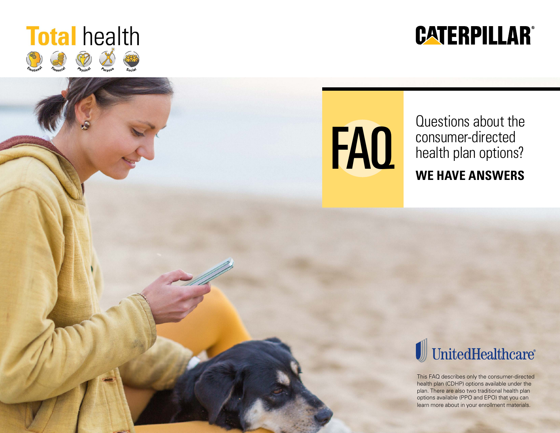

# **CATERPILLAR®**

# FAQ

Questions about the consumer-directed health plan options?

### **WE HAVE ANSWERS**

# UnitedHealthcare®

This FAQ describes only the consumer-directed health plan (CDHP) options available under the plan. There are also two traditional health plan options available (PPO and EPO) that you can learn more about in your enrollment materials.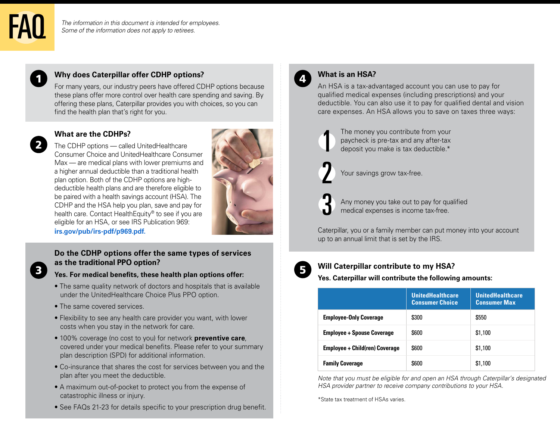# FAQ

*The information in this document is intended for employees. Some of the information does not apply to retirees.*

### **Why does Caterpillar offer CDHP options?**

For many years, our industry peers have offered CDHP options because these plans offer more control over health care spending and saving. By offering these plans, Caterpillar provides you with choices, so you can find the health plan that's right for you.



3

#### **What are the CDHPs?**

The CDHP options — called UnitedHealthcare Consumer Choice and UnitedHealthcare Consumer Max — are medical plans with lower premiums and a higher annual deductible than a traditional health plan option. Both of the CDHP options are highdeductible health plans and are therefore eligible to be paired with a health savings account (HSA). The CDHP and the HSA help you plan, save and pay for health care. Contact HealthEquity® to see if you are eligible for an HSA, or see IRS Publication 969: **[irs.gov/pub/irs-pdf/p969.pdf](http://irs.gov/pub/irs-pdf/p969.pdf).**



#### **Do the CDHP options offer the same types of services as the traditional PPO option?**

#### **Yes. For medical benefits, these health plan options offer:**

- The same quality network of doctors and hospitals that is available under the UnitedHealthcare Choice Plus PPO option.
- The same covered services.
- Flexibility to see any health care provider you want, with lower costs when you stay in the network for care.
- 100% coverage (no cost to you) for network **preventive care**, covered under your medical benefits. Please refer to your summary plan description (SPD) for additional information.
- Co-insurance that shares the cost for services between you and the plan after you meet the deductible.
- A maximum out-of-pocket to protect you from the expense of catastrophic illness or injury.
- See FAQs 21-23 for details specific to your prescription drug benefit.



#### **What is an HSA?**

An HSA is a tax-advantaged account you can use to pay for qualified medical expenses (including prescriptions) and your deductible. You can also use it to pay for qualified dental and vision care expenses. An HSA allows you to save on taxes three ways:



The money you contribute from your paycheck is pre-tax and any after-tax deposit you make is tax deductible.\*



Your savings grow tax-free.



Any money you take out to pay for qualified medical expenses is income tax-free.

Caterpillar, you or a family member can put money into your account up to an annual limit that is set by the IRS.



#### **Will Caterpillar contribute to my HSA?**

**Yes. Caterpillar will contribute the following amounts:**

|                                       | <b>UnitedHealthcare</b><br><b>Consumer Choice</b> | <b>UnitedHealthcare</b><br><b>Consumer Max</b> |
|---------------------------------------|---------------------------------------------------|------------------------------------------------|
| <b>Employee-Only Coverage</b>         | \$300                                             | \$550                                          |
| <b>Employee + Spouse Coverage</b>     | \$600                                             | \$1.100                                        |
| <b>Employee + Child(ren) Coverage</b> | \$600                                             | \$1,100                                        |
| <b>Family Coverage</b>                | \$600                                             | \$1,100                                        |

*Note that you must be eligible for and open an HSA through Caterpillar's designated HSA provider partner to receive company contributions to your HSA.*

\*State tax treatment of HSAs varies.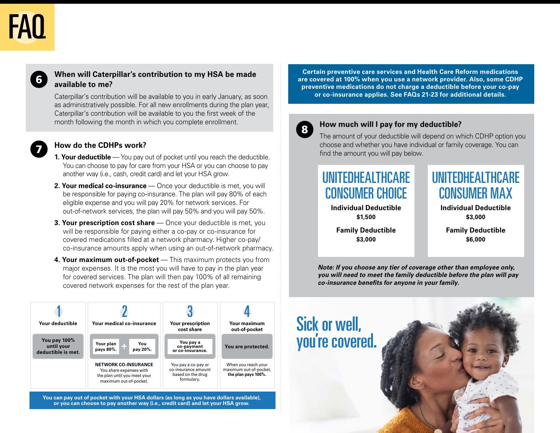# FAU

# 6

7

#### **When will Caterpillar's contribution to my HSA be made available to me?**

Caterpillar's contribution will be available to you in early January, as soon as administratively possible. For all new enrollments during the plan year, Caterpillar's contribution will be available to you the first week of the month following the month in which you complete enrollment.

#### **How do the CDHPs work?**

- **1. Your deductible** You pay out of pocket until you reach the deductible. You can choose to pay for care from your HSA or you can choose to pay another way (i.e., cash, credit card) and let your HSA grow.
- **2. Your medical co-insurance** Once your deductible is met, you will be responsible for paying co-insurance. The plan will pay 80% of each eligible expense and you will pay 20% for network services. For out-of-network services, the plan will pay 50% and you will pay 50%.
- **3. Your prescription cost share** Once your deductible is met, you will be responsible for paying either a co-pay or co-insurance for covered medications filled at a network pharmacy. Higher co-pay/ co-insurance amounts apply when using an out-of-network pharmacy.
- **4. Your maximum out-of-pocket** This maximum protects you from major expenses. It is the most you will have to pay in the plan year for covered services. The plan will then pay 100% of all remaining covered network expenses for the rest of the plan year.



**You can pay out of pocket with your HSA dollars (as long as you have dollars available), or you can choose to pay another way (i.e., credit card) and let your HSA grow.**

**Certain preventive care services and Health Care Reform medications are covered at 100% when you use a network provider. Also, some CDHP preventive medications do not charge a deductible before your co-pay or co-insurance applies. See FAQs 21-23 for additional details.**



#### **How much will I pay for my deductible?**

The amount of your deductible will depend on which CDHP option you choose and whether you have individual or family coverage. You can find the amount you will pay below.

## UNITEDHEALTHCARE CONSUMER CHOICE

**Individual Deductible \$1,500**

**Family Deductible \$3,000**

### UNITEDHEALTHCARE CONSUMER MAX

**Individual Deductible \$3,000**

**Family Deductible \$6,000**

*Note: If you choose any tier of coverage other than employee only, you will need to meet the family deductible before the plan will pay co-insurance benefits for anyone in your family.*

# Sick or well,

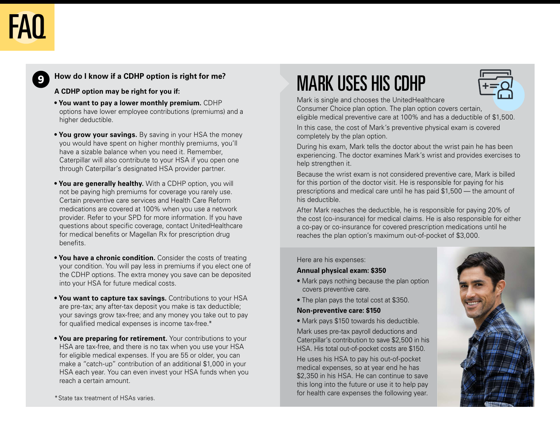### 9

#### **How do I know if a CDHP option is right for me?**

#### **A CDHP option may be right for you if:**

- **You want to pay a lower monthly premium.** CDHP options have lower employee contributions (premiums) and a higher deductible.
- **You grow your savings.** By saving in your HSA the money you would have spent on higher monthly premiums, you'll have a sizable balance when you need it. Remember, Caterpillar will also contribute to your HSA if you open one through Caterpillar's designated HSA provider partner.
- **You are generally healthy.** With a CDHP option, you will not be paying high premiums for coverage you rarely use. Certain preventive care services and Health Care Reform medications are covered at 100% when you use a network provider. Refer to your SPD for more information. If you have questions about specific coverage, contact UnitedHealthcare for medical benefits or Magellan Rx for prescription drug benefits.
- **You have a chronic condition.** Consider the costs of treating your condition. You will pay less in premiums if you elect one of the CDHP options. The extra money you save can be deposited into your HSA for future medical costs.
- **You want to capture tax savings.** Contributions to your HSA are pre-tax; any after-tax deposit you make is tax deductible; your savings grow tax-free; and any money you take out to pay for qualified medical expenses is income tax-free.\*
- **You are preparing for retirement.** Your contributions to your HSA are tax-free, and there is no tax when you use your HSA for eligible medical expenses. If you are 55 or older, you can make a "catch-up" contribution of an additional \$1,000 in your HSA each year. You can even invest your HSA funds when you reach a certain amount.

# MARK USES HIS CDHP



Mark is single and chooses the UnitedHealthcare Consumer Choice plan option. The plan option covers certain,

eligible medical preventive care at 100% and has a deductible of \$1,500.

In this case, the cost of Mark's preventive physical exam is covered completely by the plan option.

During his exam, Mark tells the doctor about the wrist pain he has been experiencing. The doctor examines Mark's wrist and provides exercises to help strengthen it.

Because the wrist exam is not considered preventive care, Mark is billed for this portion of the doctor visit. He is responsible for paying for his prescriptions and medical care until he has paid \$1,500 — the amount of his deductible.

After Mark reaches the deductible, he is responsible for paying 20% of the cost (co-insurance) for medical claims. He is also responsible for either a co-pay or co-insurance for covered prescription medications until he reaches the plan option's maximum out-of-pocket of \$3,000.

Here are his expenses:

#### **Annual physical exam: \$350**

- Mark pays nothing because the plan option covers preventive care.
- The plan pays the total cost at \$350.

#### **Non-preventive care: \$150**

• Mark pays \$150 towards his deductible.

Mark uses pre-tax payroll deductions and Caterpillar's contribution to save \$2,500 in his HSA. His total out-of-pocket costs are \$150.

He uses his HSA to pay his out-of-pocket medical expenses, so at year end he has \$2,350 in his HSA. He can continue to save this long into the future or use it to help pay for health care expenses the following year.



\*State tax treatment of HSAs varies.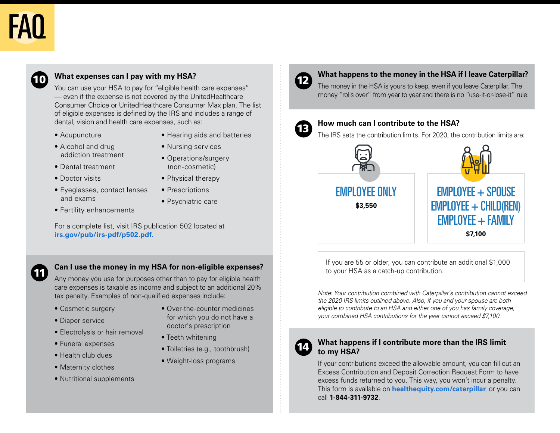

11

### **10** What expenses can I pay with my HSA?

You can use your HSA to pay for "eligible health care expenses" — even if the expense is not covered by the UnitedHealthcare Consumer Choice or UnitedHealthcare Consumer Max plan. The list of eligible expenses is defined by the IRS and includes a range of dental, vision and health care expenses, such as:

• Acupuncture

- Hearing aids and batteries
- Alcohol and drug addiction treatment
- Nursing services • Operations/surgery

(non-cosmetic)

• Psychiatric care

- Dental treatment
- Doctor visits
- Physical therapy • Prescriptions
- Eyeglasses, contact lenses and exams
- Fertility enhancements

For a complete list, visit IRS publication 502 located at **[irs.gov/pub/irs-pdf/p502.pdf](http://irs.gov/pub/irs-pdf/p502.pdf).**

#### **Can I use the money in my HSA for non-eligible expenses?**

Any money you use for purposes other than to pay for eligible health care expenses is taxable as income and subject to an additional 20% tax penalty. Examples of non-qualified expenses include:

- Cosmetic surgery
- Diaper service
- Electrolysis or hair removal
- Funeral expenses
- Health club dues
- Maternity clothes
- Nutritional supplements
- Over-the-counter medicines for which you do not have a doctor's prescription
- Teeth whitening
- Toiletries (e.g., toothbrush)
- Weight-loss programs



#### **What happens to the money in the HSA if I leave Caterpillar?**

The money in the HSA is yours to keep, even if you leave Caterpillar. The money "rolls over" from year to year and there is no "use-it-or-lose-it" rule.



#### **How much can I contribute to the HSA?**

The IRS sets the contribution limits. For 2020, the contribution limits are:



If you are 55 or older, you can contribute an additional \$1,000 to your HSA as a catch-up contribution.

*Note: Your contribution combined with Caterpillar's contribution cannot exceed the 2020 IRS limits outlined above. Also, if you and your spouse are both eligible to contribute to an HSA and either one of you has family coverage, your combined HSA contributions for the year cannot exceed \$7,100.* 



#### **What happens if I contribute more than the IRS limit to my HSA?**

If your contributions exceed the allowable amount, you can fill out an Excess Contribution and Deposit Correction Request Form to have excess funds returned to you. This way, you won't incur a penalty. This form is available on **[healthequity.com/caterpillar](http://healthequity.com/caterpillar)**, or you can call **1-844-311-9732**.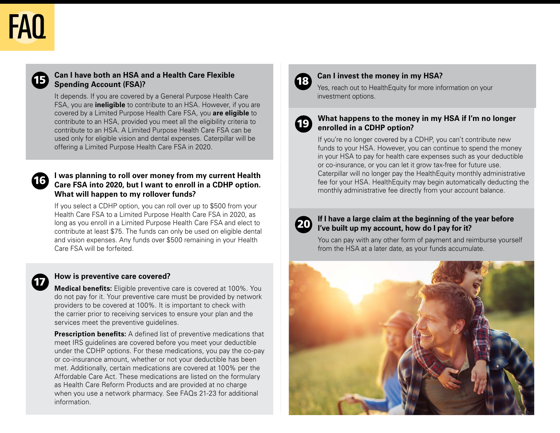# FAQ



#### **Can I have both an HSA and a Health Care Flexible Spending Account (FSA)?**

It depends. If you are covered by a General Purpose Health Care FSA, you are **ineligible** to contribute to an HSA. However, if you are covered by a Limited Purpose Health Care FSA, you **are eligible** to contribute to an HSA, provided you meet all the eligibility criteria to contribute to an HSA. A Limited Purpose Health Care FSA can be used only for eligible vision and dental expenses. Caterpillar will be offering a Limited Purpose Health Care FSA in 2020.

#### **I was planning to roll over money from my current Health Care FSA into 2020, but I want to enroll in a CDHP option. What will happen to my rollover funds?**

If you select a CDHP option, you can roll over up to \$500 from your Health Care FSA to a Limited Purpose Health Care FSA in 2020, as long as you enroll in a Limited Purpose Health Care FSA and elect to contribute at least \$75. The funds can only be used on eligible dental and vision expenses. Any funds over \$500 remaining in your Health Care FSA will be forfeited.

# 17

16

#### **How is preventive care covered?**

**Medical benefits:** Eligible preventive care is covered at 100%. You do not pay for it. Your preventive care must be provided by network providers to be covered at 100%. It is important to check with the carrier prior to receiving services to ensure your plan and the services meet the preventive guidelines.

**Prescription benefits:** A defined list of preventive medications that meet IRS guidelines are covered before you meet your deductible under the CDHP options. For these medications, you pay the co-pay or co-insurance amount, whether or not your deductible has been met. Additionally, certain medications are covered at 100% per the Affordable Care Act. These medications are listed on the formulary as Health Care Reform Products and are provided at no charge when you use a network pharmacy. See FAQs 21-23 for additional information.



#### **Can I invest the money in my HSA?**

Yes, reach out to HealthEquity for more information on your investment options.



#### **What happens to the money in my HSA if I'm no longer enrolled in a CDHP option?**

If you're no longer covered by a CDHP, you can't contribute new funds to your HSA. However, you can continue to spend the money in your HSA to pay for health care expenses such as your deductible or co-insurance, or you can let it grow tax-free for future use. Caterpillar will no longer pay the HealthEquity monthly administrative fee for your HSA. HealthEquity may begin automatically deducting the monthly administrative fee directly from your account balance.



#### **If I have a large claim at the beginning of the year before I've built up my account, how do I pay for it?**

You can pay with any other form of payment and reimburse yourself from the HSA at a later date, as your funds accumulate.